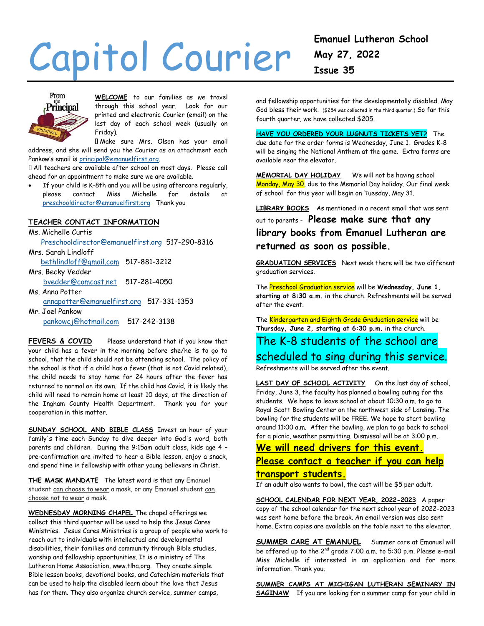# Capitol Courier



**WELCOME** to our families as we travel through this school year. Look for our printed and electronic Courier (email) on the last day of each school week (usually on Friday).

Make sure Mrs. Olson has your email address, and she will send you the Courier as an attachment each Pankow's email is [principal@emanuelfirst.org.](mailto:principal@emanuelfirst.org)

All teachers are available after school on most days. Please call ahead for an appointment to make sure we are available.

 If your child is K-8th and you will be using aftercare regularly, please contact Miss Michelle for details at [preschooldirector@emanuelfirst.org](mailto:preschooldirector@emanuelfirst.org) Thank you

#### **TEACHER CONTACT INFORMATION**

Ms. Michelle Curtis [Preschooldirector@emanuelfirst.org](mailto:Preschooldirector@emanuelfirst.org) 517-290-8316 Mrs. Sarah Lindloff [bethlindloff@gmail.com](mailto:bethlindloff@gmail.com) 517-881-3212 Mrs. Becky Vedder [bvedder@comcast.net](mailto:bvedder@comcast.net) 517-281-4050 Ms. Anna Potter

 [annapotter@emanuelfirst.org](mailto:annapotter@emanuelfirst.org) 517-331-1353 Mr. Joel Pankow

[pankowcj@hotmail.com](mailto:pankowcj@hotmail.com) 517-242-3138

**FEVERS & COVID** Please understand that if you know that your child has a fever in the morning before she/he is to go to school, that the child should not be attending school. The policy of the school is that if a child has a fever (that is not Covid related), the child needs to stay home for 24 hours after the fever has returned to normal on its own. If the child has Covid, it is likely the child will need to remain home at least 10 days, at the direction of the Ingham County Health Department. Thank you for your cooperation in this matter.

**SUNDAY SCHOOL AND BIBLE CLASS** Invest an hour of your family's time each Sunday to dive deeper into God's word, both parents and children. During the 9:15am adult class, kids age 4 – pre-confirmation are invited to hear a Bible lesson, enjoy a snack, and spend time in fellowship with other young believers in Christ.

**THE MASK MANDATE** The latest word is that any Emanuel student can choose to wear a mask, or any Emanuel student can choose not to wear a mask.

**WEDNESDAY MORNING CHAPEL** The chapel offerings we collect this third quarter will be used to help the Jesus Cares Ministries. Jesus Cares Ministries is a group of people who work to reach out to individuals with intellectual and developmental disabilities, their families and community through Bible studies, worship and fellowship opportunities. It is a ministry of The Lutheran Home Association[, www.tlha.org.](http://www.tlha.org/) They create simple Bible lesson books, devotional books, and Catechism materials that can be used to help the disabled learn about the love that Jesus has for them. They also organize church service, summer camps,

and fellowship opportunities for the developmentally disabled. May God bless their work. (\$254 was collected in the third quarter.) So far this fourth quarter, we have collected \$205.

**HAVE YOU ORDERED YOUR LUGNUTS TICKETS YET?** The due date for the order forms is Wednesday, June 1. Grades K-8 will be singing the National Anthem at the game. Extra forms are available near the elevator.

**MEMORIAL DAY HOLIDAY** We will not be having school Monday, May 30, due to the Memorial Day holiday. Our final week of school for this year will begin on Tuesday, May 31.

**LIBRARY BOOKS** As mentioned in a recent email that was sent out to parents - **Please make sure that any library books from Emanuel Lutheran are returned as soon as possible.**

**GRADUATION SERVICES** Next week there will be two different graduation services.

The Preschool Graduation service will be **Wednesday, June 1, starting at 8:30 a.m.** in the church. Refreshments will be served after the event.

The Kindergarten and Eighth Grade Graduation service will be **Thursday, June 2, starting at 6:30 p.m.** in the church.

## The K-8 students of the school are scheduled to sing during this service.

Refreshments will be served after the event.

LAST DAY OF SCHOOL ACTIVITY On the last day of school, Friday, June 3, the faculty has planned a bowling outing for the students. We hope to leave school at about 10:30 a.m. to go to Royal Scott Bowling Center on the northwest side of Lansing. The bowling for the students will be FREE. We hope to start bowling around 11:00 a.m. After the bowling, we plan to go back to school for a picnic, weather permitting. Dismissal will be at 3:00 p.m.

### **We will need drivers for this event. Please contact a teacher if you can help**

#### **transport students.**

If an adult also wants to bowl, the cost will be \$5 per adult.

**SCHOOL CALENDAR FOR NEXT YEAR, 2022-2023** A paper copy of the school calendar for the next school year of 2022-2023 was sent home before the break. An email version was also sent home. Extra copies are available on the table next to the elevator.

**SUMMER CARE AT EMANUEL** Summer care at Emanuel will be offered up to the 2<sup>nd</sup> grade 7:00 a.m. to 5:30 p.m. Please e-mail Miss Michelle if interested in an application and for more information. Thank you.

**SUMMER CAMPS AT MICHIGAN LUTHERAN SEMINARY IN SAGINAW** If you are looking for a summer camp for your child in